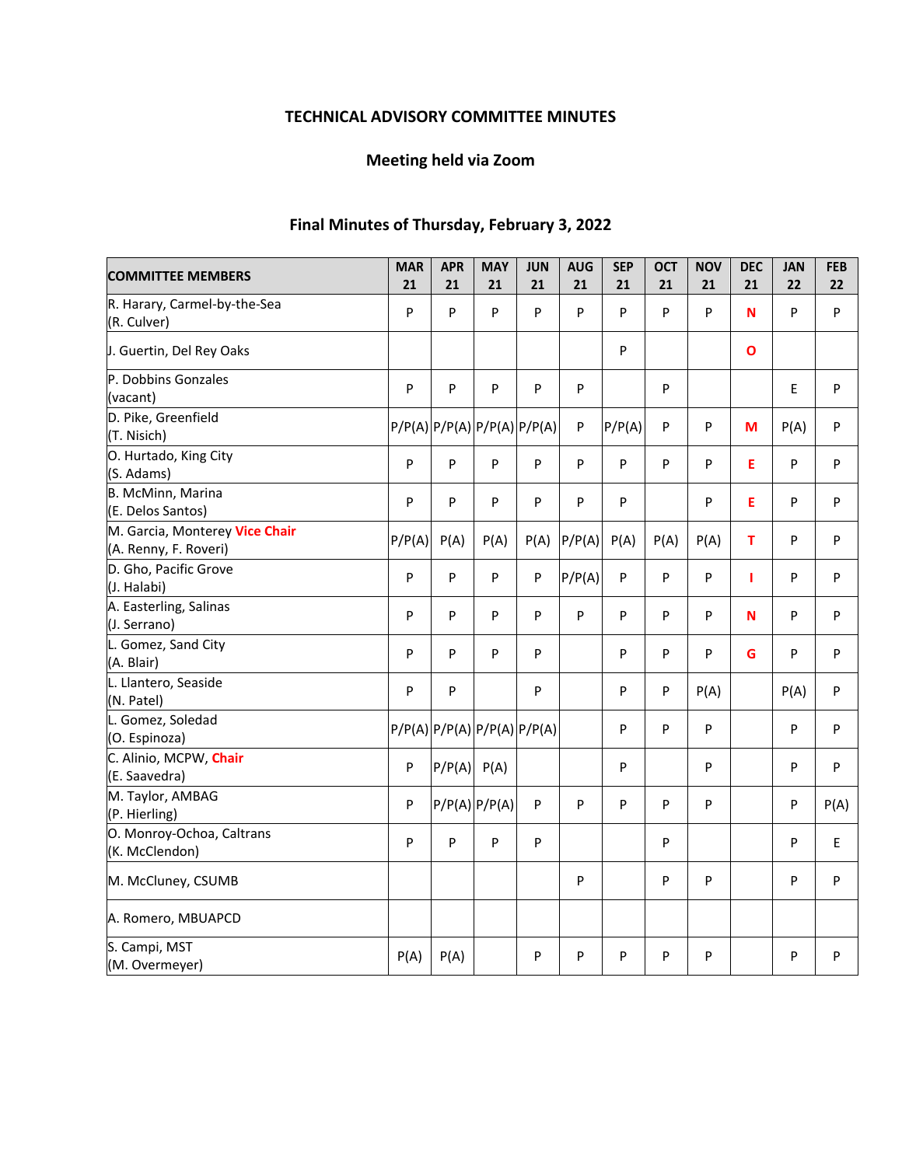# **TECHNICAL ADVISORY COMMITTEE MINUTES**

# **Meeting held via Zoom**

# **Final Minutes of Thursday, February 3, 2022**

| <b>COMMITTEE MEMBERS</b>                                | <b>MAR</b> | <b>APR</b> | <b>MAY</b>                  | <b>JUN</b>                | <b>AUG</b>                | <b>SEP</b> | <b>OCT</b> | <b>NOV</b> | <b>DEC</b>   | <b>JAN</b> | <b>FEB</b> |
|---------------------------------------------------------|------------|------------|-----------------------------|---------------------------|---------------------------|------------|------------|------------|--------------|------------|------------|
|                                                         | 21         | 21         | 21                          | 21                        | 21                        | 21         | 21         | 21         | 21           | 22         | 22         |
| R. Harary, Carmel-by-the-Sea<br>(R. Culver)             | P          | P          | P                           | $\mathsf{P}$              | P                         | P          | P          | P          | N            | P          | P          |
| J. Guertin, Del Rey Oaks                                |            |            |                             |                           |                           | P          |            |            | $\mathbf{o}$ |            |            |
| P. Dobbins Gonzales<br>(vacant)                         | P          | P          | P                           | P                         | P                         |            | P          |            |              | E          | P          |
| D. Pike, Greenfield<br>(T. Nisich)                      |            |            | P/P(A) P/P(A) P/P(A) P/P(A) |                           | $\boldsymbol{\mathsf{P}}$ | P/P(A)     | P          | P          | M            | P(A)       | P          |
| O. Hurtado, King City<br>(S. Adams)                     | P          | P          | P                           | P                         | P                         | P          | P          | P          | E            | P          | P          |
| B. McMinn, Marina<br>(E. Delos Santos)                  | P          | P          | P                           | P                         | P                         | ${\sf P}$  |            | P          | E            | P          | P          |
| M. Garcia, Monterey Vice Chair<br>(A. Renny, F. Roveri) | P/P(A)     | P(A)       | P(A)                        | P(A)                      | P/P(A)                    | P(A)       | P(A)       | P(A)       | T            | P          | P          |
| D. Gho, Pacific Grove<br>(J. Halabi)                    | P          | P          | P                           | $\boldsymbol{\mathsf{P}}$ | P/P(A)                    | P          | P          | P          | т            | P          | P          |
| A. Easterling, Salinas<br>(J. Serrano)                  | P          | P          | P                           | P                         | P                         | P          | P          | P          | N            | P          | P          |
| L. Gomez, Sand City<br>(A. Blair)                       | P          | P          | P                           | P                         |                           | P          | P          | P          | G            | P          | P          |
| L. Llantero, Seaside<br>(N. Patel)                      | P          | P          |                             | ${\sf P}$                 |                           | P          | P          | P(A)       |              | P(A)       | P          |
| L. Gomez, Soledad<br>(O. Espinoza)                      |            |            | P/P(A) P/P(A) P/P(A) P/P(A) |                           |                           | P          | P          | P          |              | P          | P          |
| C. Alinio, MCPW, Chair<br>(E. Saavedra)                 | P          | P/P(A)     | P(A)                        |                           |                           | P          |            | P          |              | P          | P          |
| M. Taylor, AMBAG<br>(P. Hierling)                       | P          |            | $P/P(A)$ $P/P(A)$           | P                         | P                         | P          | P          | P          |              | P          | P(A)       |
| O. Monroy-Ochoa, Caltrans<br>(K. McClendon)             | P          | P          | P                           | P                         |                           |            | P          |            |              | P          | E          |
| M. McCluney, CSUMB                                      |            |            |                             |                           | ${\sf P}$                 |            | P          | P          |              | P          | P          |
| A. Romero, MBUAPCD                                      |            |            |                             |                           |                           |            |            |            |              |            |            |
| S. Campi, MST<br>(M. Overmeyer)                         | P(A)       | P(A)       |                             | P                         | P                         | P          | P          | P          |              | P          | P          |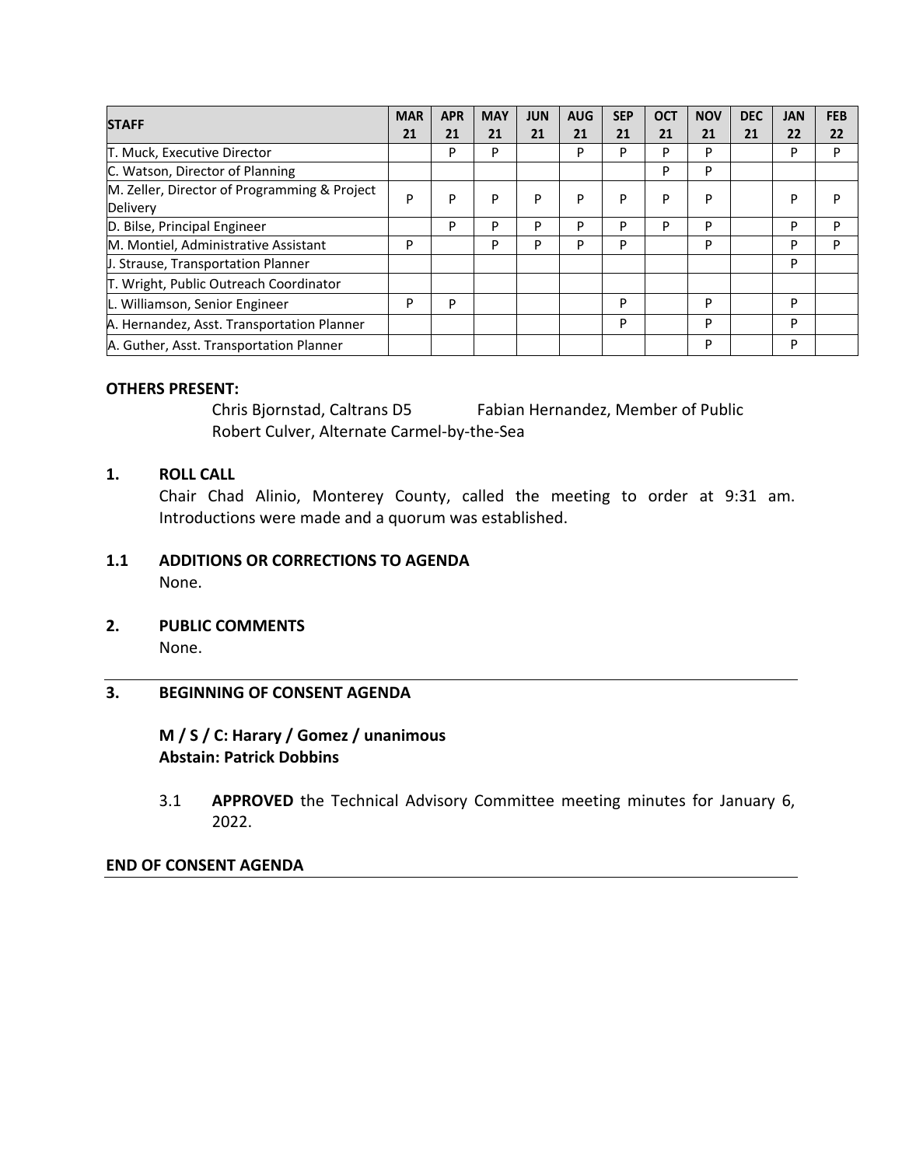| <b>STAFF</b>                                 | <b>MAR</b> | <b>APR</b> | <b>MAY</b> | <b>JUN</b> | <b>AUG</b> | <b>SEP</b> | <b>OCT</b> | <b>NOV</b> | <b>DEC</b> | <b>JAN</b> | <b>FEB</b> |
|----------------------------------------------|------------|------------|------------|------------|------------|------------|------------|------------|------------|------------|------------|
|                                              | 21         | 21         | 21         | 21         | 21         | 21         | 21         | 21         | 21         | 22         | 22         |
| T. Muck, Executive Director                  |            | P          | P          |            | P          | P          | P          | P          |            | P          | P          |
| C. Watson, Director of Planning              |            |            |            |            |            |            | P          | P          |            |            |            |
| M. Zeller, Director of Programming & Project | P          | P          | P          | P          | P          | P          | P          | P          |            | P          | P          |
| Delivery                                     |            |            |            |            |            |            |            |            |            |            |            |
| D. Bilse, Principal Engineer                 |            | P          | P          | P          | D          | Þ          | P          | P          |            | P          | P          |
| M. Montiel, Administrative Assistant         | P          |            | P          | P          | D          | P          |            | P          |            | P          | P          |
| J. Strause, Transportation Planner           |            |            |            |            |            |            |            |            |            | P          |            |
| T. Wright, Public Outreach Coordinator       |            |            |            |            |            |            |            |            |            |            |            |
| L. Williamson, Senior Engineer               | P          | P          |            |            |            | P          |            | P          |            | P          |            |
| A. Hernandez, Asst. Transportation Planner   |            |            |            |            |            | P          |            | P          |            | P          |            |
| A. Guther, Asst. Transportation Planner      |            |            |            |            |            |            |            | P          |            | P          |            |

### **OTHERS PRESENT:**

 Chris Bjornstad, Caltrans D5 Fabian Hernandez, Member of Public Robert Culver, Alternate Carmel‐by‐the‐Sea

## **1. ROLL CALL**

Chair Chad Alinio, Monterey County, called the meeting to order at 9:31 am. Introductions were made and a quorum was established.

#### **1.1 ADDITIONS OR CORRECTIONS TO AGENDA**  None.

**2. PUBLIC COMMENTS**  None.

# **3. BEGINNING OF CONSENT AGENDA**

# **M / S / C: Harary / Gomez / unanimous Abstain: Patrick Dobbins**

3.1 **APPROVED** the Technical Advisory Committee meeting minutes for January 6, 2022.

### **END OF CONSENT AGENDA**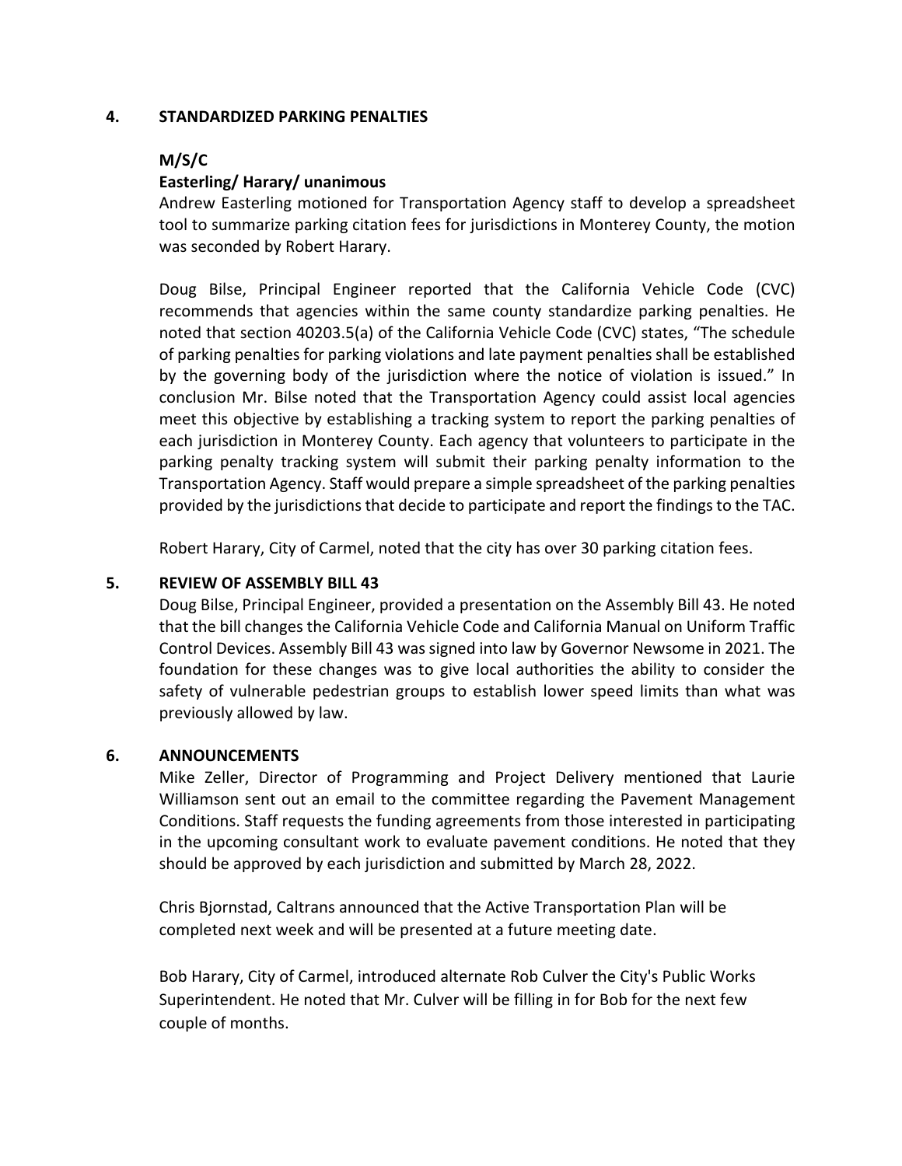### **4. STANDARDIZED PARKING PENALTIES**

### **M/S/C**

### **Easterling/ Harary/ unanimous**

Andrew Easterling motioned for Transportation Agency staff to develop a spreadsheet tool to summarize parking citation fees for jurisdictions in Monterey County, the motion was seconded by Robert Harary.

Doug Bilse, Principal Engineer reported that the California Vehicle Code (CVC) recommends that agencies within the same county standardize parking penalties. He noted that section 40203.5(a) of the California Vehicle Code (CVC) states, "The schedule of parking penalties for parking violations and late payment penalties shall be established by the governing body of the jurisdiction where the notice of violation is issued." In conclusion Mr. Bilse noted that the Transportation Agency could assist local agencies meet this objective by establishing a tracking system to report the parking penalties of each jurisdiction in Monterey County. Each agency that volunteers to participate in the parking penalty tracking system will submit their parking penalty information to the Transportation Agency. Staff would prepare a simple spreadsheet of the parking penalties provided by the jurisdictions that decide to participate and report the findings to the TAC.

Robert Harary, City of Carmel, noted that the city has over 30 parking citation fees.

### **5. REVIEW OF ASSEMBLY BILL 43**

Doug Bilse, Principal Engineer, provided a presentation on the Assembly Bill 43. He noted that the bill changes the California Vehicle Code and California Manual on Uniform Traffic Control Devices. Assembly Bill 43 was signed into law by Governor Newsome in 2021. The foundation for these changes was to give local authorities the ability to consider the safety of vulnerable pedestrian groups to establish lower speed limits than what was previously allowed by law.

#### **6. ANNOUNCEMENTS**

Mike Zeller, Director of Programming and Project Delivery mentioned that Laurie Williamson sent out an email to the committee regarding the Pavement Management Conditions. Staff requests the funding agreements from those interested in participating in the upcoming consultant work to evaluate pavement conditions. He noted that they should be approved by each jurisdiction and submitted by March 28, 2022.

Chris Bjornstad, Caltrans announced that the Active Transportation Plan will be completed next week and will be presented at a future meeting date.

Bob Harary, City of Carmel, introduced alternate Rob Culver the City's Public Works Superintendent. He noted that Mr. Culver will be filling in for Bob for the next few couple of months.